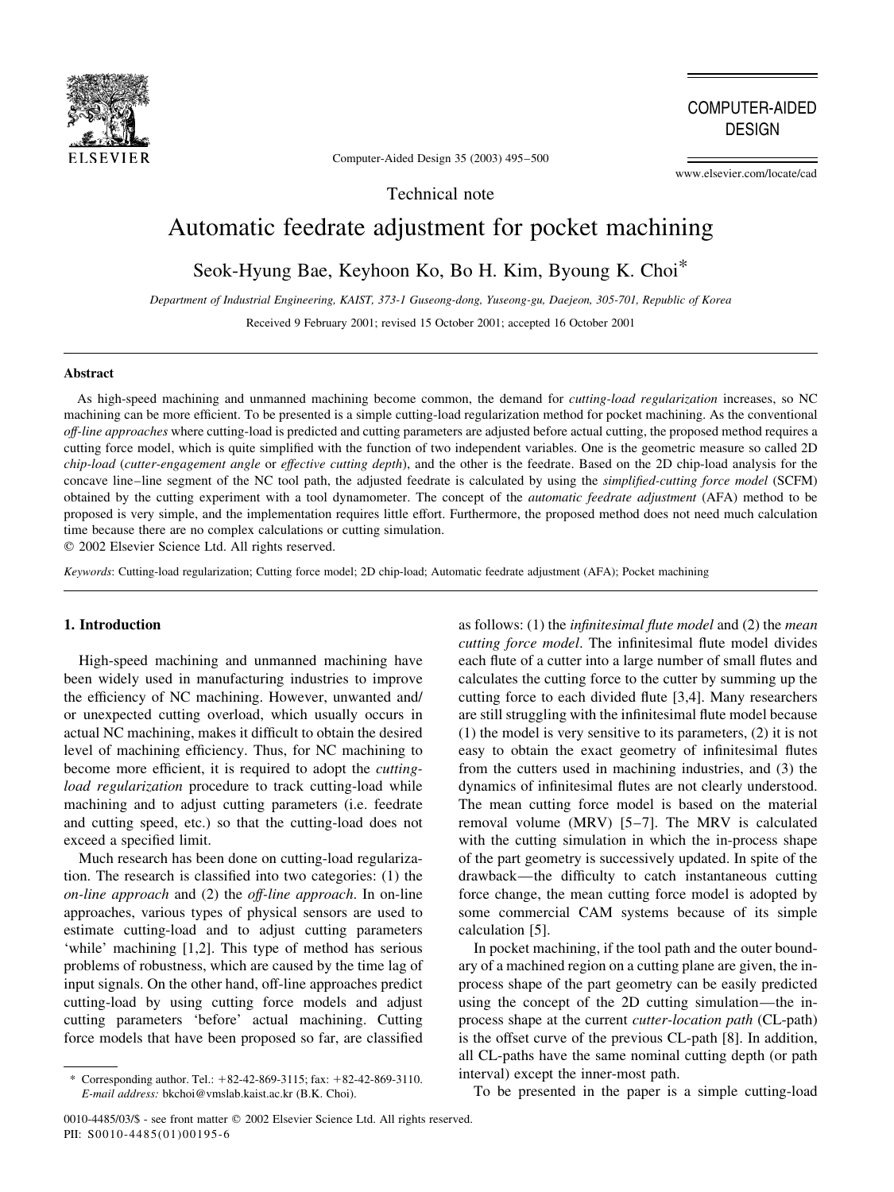

**COMPUTER-AIDED DESIGN** 

Computer-Aided Design 35 (2003) 495-500

www.elsevier.com/locate/cad

Technical note

# Automatic feedrate adjustment for pocket machining

Seok-Hyung Bae, Keyhoon Ko, Bo H. Kim, Byoung K. Choi\*

Department of Industrial Engineering, KAIST, 373-1 Guseong-dong, Yuseong-gu, Daejeon, 305-701, Republic of Korea

Received 9 February 2001; revised 15 October 2001; accepted 16 October 2001

#### **Abstract**

As high-speed machining and unmanned machining become common, the demand for *cutting-load regularization* increases, so NC machining can be more efficient. To be presented is a simple cutting-load regularization method for pocket machining. As the conventional off-line approaches where cutting-load is predicted and cutting parameters are adjusted before actual cutting, the proposed method requires a cutting force model, which is quite simplified with the function of two independent variables. One is the geometric measure so called 2D chip-load (cutter-engagement angle or effective cutting depth), and the other is the feedrate. Based on the 2D chip-load analysis for the concave line-line segment of the NC tool path, the adjusted feedrate is calculated by using the simplified-cutting force model (SCFM) obtained by the cutting experiment with a tool dynamometer. The concept of the *automatic feedrate adjustment* (AFA) method to be proposed is very simple, and the implementation requires little effort. Furthermore, the proposed method does not need much calculation time because there are no complex calculations or cutting simulation.

© 2002 Elsevier Science Ltd. All rights reserved.

Keywords: Cutting-load regularization; Cutting force model; 2D chip-load; Automatic feedrate adjustment (AFA); Pocket machining

## 1. Introduction

High-speed machining and unmanned machining have been widely used in manufacturing industries to improve the efficiency of NC machining. However, unwanted and/ or unexpected cutting overload, which usually occurs in actual NC machining, makes it difficult to obtain the desired level of machining efficiency. Thus, for NC machining to become more efficient, it is required to adopt the *cutting*load regularization procedure to track cutting-load while machining and to adjust cutting parameters (i.e. feedrate and cutting speed, etc.) so that the cutting-load does not exceed a specified limit.

Much research has been done on cutting-load regularization. The research is classified into two categories: (1) the on-line approach and (2) the off-line approach. In on-line approaches, various types of physical sensors are used to estimate cutting-load and to adjust cutting parameters 'while' machining [1,2]. This type of method has serious problems of robustness, which are caused by the time lag of input signals. On the other hand, off-line approaches predict cutting-load by using cutting force models and adjust cutting parameters 'before' actual machining. Cutting force models that have been proposed so far, are classified

as follows:  $(1)$  the *infinitesimal flute model* and  $(2)$  the *mean* cutting force model. The infinitesimal flute model divides each flute of a cutter into a large number of small flutes and calculates the cutting force to the cutter by summing up the cutting force to each divided flute [3,4]. Many researchers are still struggling with the infinitesimal flute model because  $(1)$  the model is very sensitive to its parameters,  $(2)$  it is not easy to obtain the exact geometry of infinitesimal flutes from the cutters used in machining industries, and (3) the dynamics of infinitesimal flutes are not clearly understood. The mean cutting force model is based on the material removal volume (MRV) [5-7]. The MRV is calculated with the cutting simulation in which the in-process shape of the part geometry is successively updated. In spite of the drawback—the difficulty to catch instantaneous cutting force change, the mean cutting force model is adopted by some commercial CAM systems because of its simple calculation [5].

In pocket machining, if the tool path and the outer boundary of a machined region on a cutting plane are given, the inprocess shape of the part geometry can be easily predicted using the concept of the 2D cutting simulation—the inprocess shape at the current *cutter-location path* (CL-path) is the offset curve of the previous CL-path [8]. In addition, all CL-paths have the same nominal cutting depth (or path interval) except the inner-most path.

To be presented in the paper is a simple cutting-load

Corresponding author. Tel.:  $+82-42-869-3115$ ; fax:  $+82-42-869-3110$ . E-mail address: bkchoi@vmslab.kaist.ac.kr (B.K. Choi).

<sup>0010-4485/03/\$ -</sup> see front matter © 2002 Elsevier Science Ltd. All rights reserved. PII: S0010-4485(01)00195-6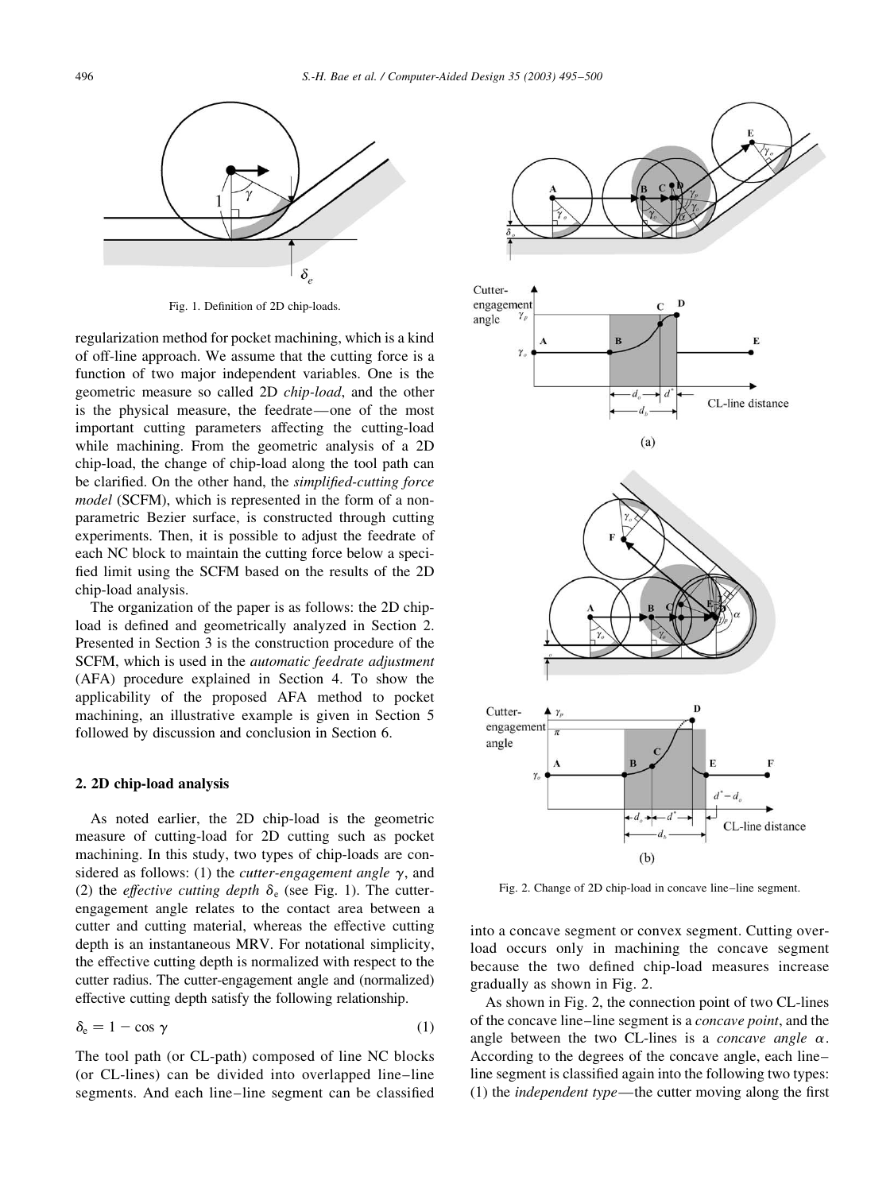

Fig. 1. Definition of 2D chip-loads.

regularization method for pocket machining, which is a kind of off-line approach. We assume that the cutting force is a function of two major independent variables. One is the geometric measure so called 2D *chip-load*, and the other is the physical measure, the feedrate—one of the most important cutting parameters affecting the cutting-load while machining. From the geometric analysis of a 2D chip-load, the change of chip-load along the tool path can be clarified. On the other hand, the simplified-cutting force *model* (SCFM), which is represented in the form of a nonparametric Bezier surface, is constructed through cutting experiments. Then, it is possible to adjust the feedrate of each NC block to maintain the cutting force below a specified limit using the SCFM based on the results of the 2D chip-load analysis.

The organization of the paper is as follows: the 2D chipload is defined and geometrically analyzed in Section 2. Presented in Section 3 is the construction procedure of the SCFM, which is used in the *automatic* feedrate adjustment (AFA) procedure explained in Section 4. To show the applicability of the proposed AFA method to pocket machining, an illustrative example is given in Section 5 followed by discussion and conclusion in Section 6.

## 2. 2D chip-load analysis

As noted earlier, the 2D chip-load is the geometric measure of cutting-load for 2D cutting such as pocket machining. In this study, two types of chip-loads are considered as follows: (1) the *cutter-engagement angle*  $\gamma$ , and (2) the *effective cutting depth*  $\delta_e$  (see Fig. 1). The cutterengagement angle relates to the contact area between a cutter and cutting material, whereas the effective cutting depth is an instantaneous MRV. For notational simplicity, the effective cutting depth is normalized with respect to the cutter radius. The cutter-engagement angle and (normalized) effective cutting depth satisfy the following relationship.

$$
\delta_{\rm e} = 1 - \cos \gamma \tag{1}
$$

The tool path (or CL-path) composed of line NC blocks (or CL-lines) can be divided into overlapped line-line segments. And each line-line segment can be classified



Fig. 2. Change of 2D chip-load in concave line-line segment.

into a concave segment or convex segment. Cutting overload occurs only in machining the concave segment because the two defined chip-load measures increase gradually as shown in Fig. 2.

As shown in Fig. 2, the connection point of two CL-lines of the concave line–line segment is a *concave point*, and the angle between the two CL-lines is a *concave angle*  $\alpha$ . According to the degrees of the concave angle, each lineline segment is classified again into the following two types: (1) the *independent type*—the cutter moving along the first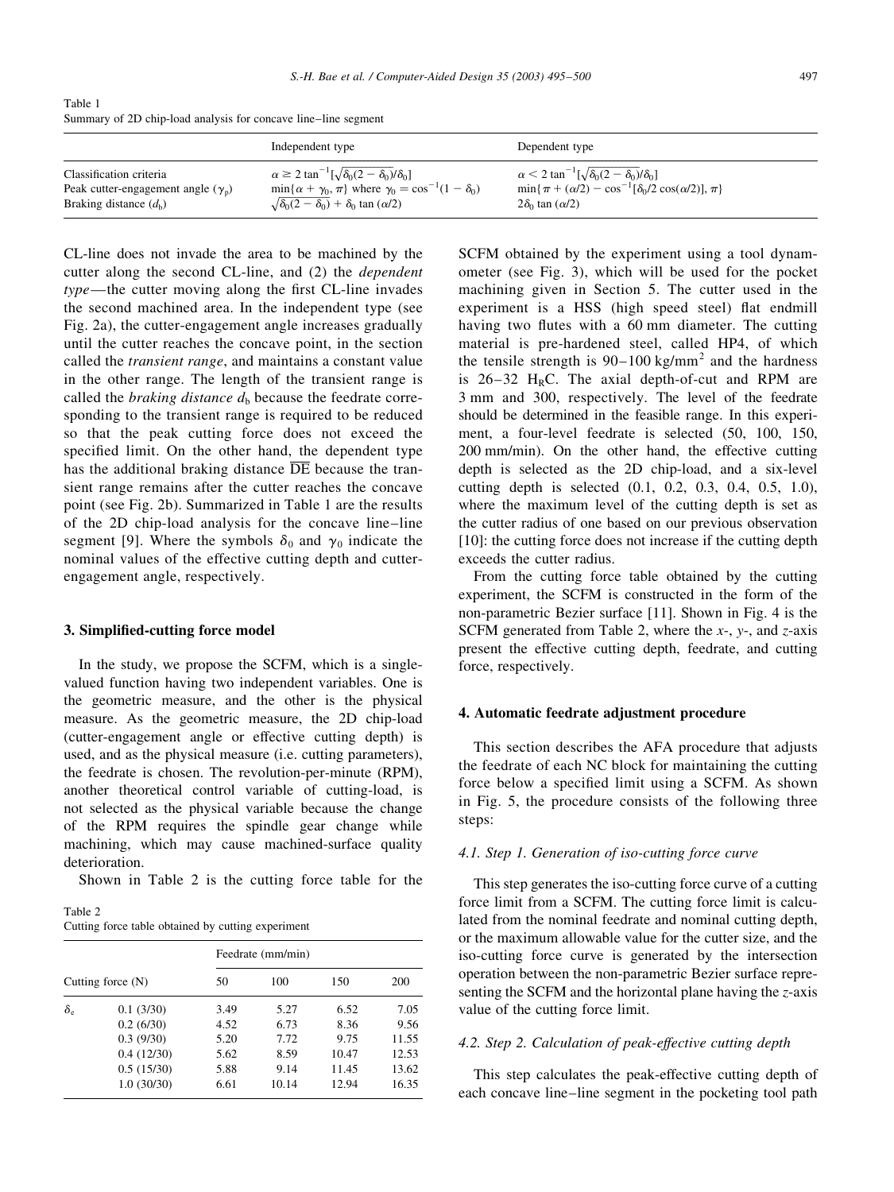Table 1 Summary of 2D chip-load analysis for concave line-line segment

|                                           | Independent type                                                            | Dependent type                                                         |
|-------------------------------------------|-----------------------------------------------------------------------------|------------------------------------------------------------------------|
| Classification criteria                   | $\alpha \geq 2 \tan^{-1}[\sqrt{\delta_0(2-\delta_0)}/\delta_0]$             | $\alpha < 2 \tan^{-1}[\sqrt{\delta_0(2-\delta_0)}/\delta_0]$           |
| Peak cutter-engagement angle $(\gamma_p)$ | $\min\{\alpha + \gamma_0, \pi\}$ where $\gamma_0 = \cos^{-1}(1 - \delta_0)$ | $\min\{\pi + (\alpha/2) - \cos^{-1}[\delta_0/2 \cos(\alpha/2)], \pi\}$ |
| Braking distance $(d_h)$                  | $\sqrt{\delta_0(2-\delta_0)}$ + $\delta_0$ tan ( $\alpha/2$ )               | $2\delta_0$ tan $(\alpha/2)$                                           |

CL-line does not invade the area to be machined by the cutter along the second CL-line, and (2) the *dependent* type—the cutter moving along the first CL-line invades the second machined area. In the independent type (see Fig. 2a), the cutter-engagement angle increases gradually until the cutter reaches the concave point, in the section called the *transient range*, and maintains a constant value in the other range. The length of the transient range is called the *braking distance*  $d<sub>b</sub>$  because the feedrate corresponding to the transient range is required to be reduced so that the peak cutting force does not exceed the specified limit. On the other hand, the dependent type has the additional braking distance  $\overline{DE}$  because the transient range remains after the cutter reaches the concave point (see Fig. 2b). Summarized in Table 1 are the results of the 2D chip-load analysis for the concave line-line segment [9]. Where the symbols  $\delta_0$  and  $\gamma_0$  indicate the nominal values of the effective cutting depth and cutterengagement angle, respectively.

#### 3. Simplified-cutting force model

In the study, we propose the SCFM, which is a singlevalued function having two independent variables. One is the geometric measure, and the other is the physical measure. As the geometric measure, the 2D chip-load (cutter-engagement angle or effective cutting depth) is used, and as the physical measure (*i.e.* cutting parameters), the feedrate is chosen. The revolution-per-minute (RPM), another theoretical control variable of cutting-load, is not selected as the physical variable because the change of the RPM requires the spindle gear change while machining, which may cause machined-surface quality deterioration.

Shown in Table 2 is the cutting force table for the

Table 2 Cutting force table obtained by cutting experiment

|                     |            | Feedrate (mm/min) |       |       |       |  |
|---------------------|------------|-------------------|-------|-------|-------|--|
| Cutting force $(N)$ |            | 50                | 100   | 150   | 200   |  |
| $\delta_e$          | 0.1(3/30)  | 3.49              | 5.27  | 6.52  | 7.05  |  |
|                     | 0.2(6/30)  | 4.52              | 6.73  | 8.36  | 9.56  |  |
|                     | 0.3(9/30)  | 5.20              | 7.72  | 9.75  | 11.55 |  |
|                     | 0.4(12/30) | 5.62              | 8.59  | 10.47 | 12.53 |  |
|                     | 0.5(15/30) | 5.88              | 9.14  | 11.45 | 13.62 |  |
|                     | 1.0(30/30) | 6.61              | 10.14 | 12.94 | 16.35 |  |

SCFM obtained by the experiment using a tool dynamometer (see Fig. 3), which will be used for the pocket machining given in Section 5. The cutter used in the experiment is a HSS (high speed steel) flat endmill having two flutes with a 60 mm diameter. The cutting material is pre-hardened steel, called HP4, of which the tensile strength is  $90-100 \text{ kg/mm}^2$  and the hardness is  $26-32$  H<sub>R</sub>C. The axial depth-of-cut and RPM are 3 mm and 300, respectively. The level of the feedrate should be determined in the feasible range. In this experiment, a four-level feedrate is selected (50, 100, 150, 200 mm/min). On the other hand, the effective cutting depth is selected as the 2D chip-load, and a six-level cutting depth is selected (0.1, 0.2, 0.3, 0.4, 0.5, 1.0), where the maximum level of the cutting depth is set as the cutter radius of one based on our previous observation [10]: the cutting force does not increase if the cutting depth exceeds the cutter radius.

From the cutting force table obtained by the cutting experiment, the SCFM is constructed in the form of the non-parametric Bezier surface [11]. Shown in Fig. 4 is the SCFM generated from Table 2, where the  $x$ -,  $y$ -, and  $z$ -axis present the effective cutting depth, feedrate, and cutting force, respectively.

#### 4. Automatic feedrate adjustment procedure

This section describes the AFA procedure that adjusts the feedrate of each NC block for maintaining the cutting force below a specified limit using a SCFM. As shown in Fig. 5, the procedure consists of the following three steps:

## 4.1. Step 1. Generation of iso-cutting force curve

This step generates the iso-cutting force curve of a cutting force limit from a SCFM. The cutting force limit is calculated from the nominal feedrate and nominal cutting depth, or the maximum allowable value for the cutter size, and the iso-cutting force curve is generated by the intersection operation between the non-parametric Bezier surface representing the SCFM and the horizontal plane having the  $z$ -axis value of the cutting force limit.

#### 4.2. Step 2. Calculation of peak-effective cutting depth

This step calculates the peak-effective cutting depth of each concave line-line segment in the pocketing tool path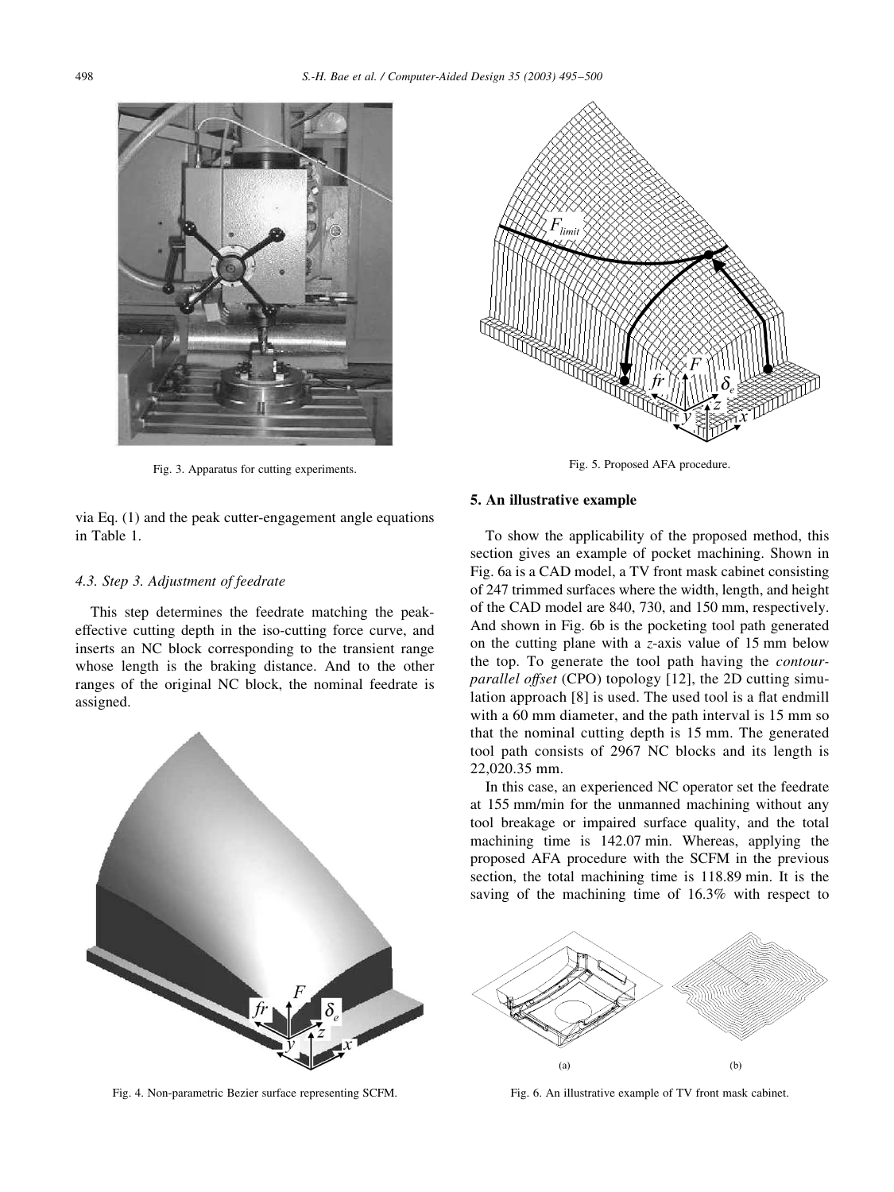

Fig. 3. Apparatus for cutting experiments.

via Eq.  $(1)$  and the peak cutter-engagement angle equations in Table 1.

## 4.3. Step 3. Adjustment of feedrate

This step determines the feedrate matching the peakeffective cutting depth in the iso-cutting force curve, and inserts an NC block corresponding to the transient range whose length is the braking distance. And to the other ranges of the original NC block, the nominal feedrate is assigned.



Fig. 4. Non-parametric Bezier surface representing SCFM.



Fig. 5. Proposed AFA procedure.

## 5. An illustrative example

To show the applicability of the proposed method, this section gives an example of pocket machining. Shown in Fig. 6a is a CAD model, a TV front mask cabinet consisting of 247 trimmed surfaces where the width, length, and height of the CAD model are 840, 730, and 150 mm, respectively. And shown in Fig. 6b is the pocketing tool path generated on the cutting plane with a  $z$ -axis value of 15 mm below the top. To generate the tool path having the *contourparallel offset* (CPO) topology [12], the 2D cutting simulation approach [8] is used. The used tool is a flat endmill with a 60 mm diameter, and the path interval is 15 mm so that the nominal cutting depth is 15 mm. The generated tool path consists of 2967 NC blocks and its length is 22,020.35 mm.

In this case, an experienced NC operator set the feedrate at 155 mm/min for the unmanned machining without any tool breakage or impaired surface quality, and the total machining time is 142.07 min. Whereas, applying the proposed AFA procedure with the SCFM in the previous section, the total machining time is 118.89 min. It is the saving of the machining time of 16.3% with respect to



Fig. 6. An illustrative example of TV front mask cabinet.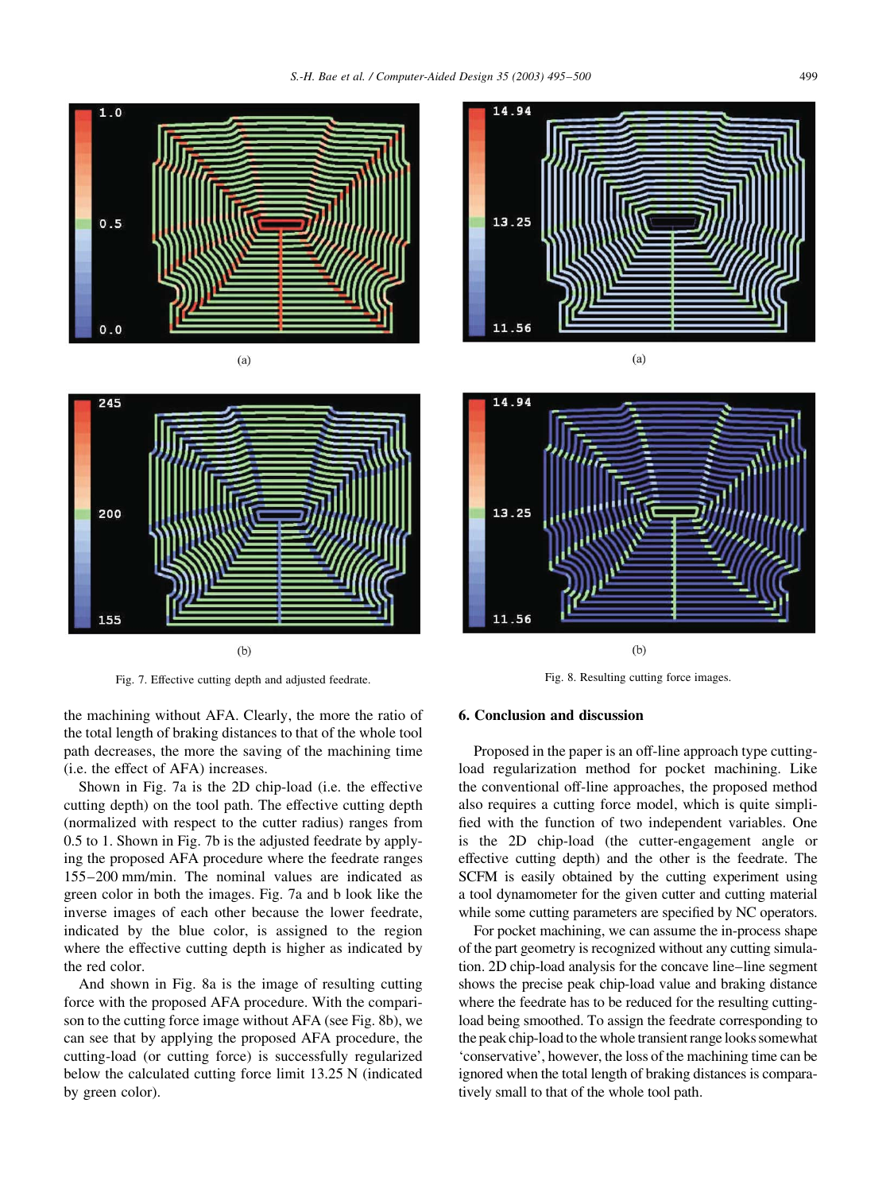



Fig. 7. Effective cutting depth and adjusted feedrate.

the machining without AFA. Clearly, the more the ratio of the total length of braking distances to that of the whole tool path decreases, the more the saving of the machining time (i.e. the effect of AFA) increases.

Shown in Fig. 7a is the 2D chip-load (i.e. the effective cutting depth) on the tool path. The effective cutting depth (normalized with respect to the cutter radius) ranges from 0.5 to 1. Shown in Fig. 7b is the adjusted feedrate by applying the proposed AFA procedure where the feedrate ranges 155-200 mm/min. The nominal values are indicated as green color in both the images. Fig. 7a and b look like the inverse images of each other because the lower feedrate, indicated by the blue color, is assigned to the region where the effective cutting depth is higher as indicated by the red color.

And shown in Fig. 8a is the image of resulting cutting force with the proposed AFA procedure. With the comparison to the cutting force image without AFA (see Fig. 8b), we can see that by applying the proposed AFA procedure, the cutting-load (or cutting force) is successfully regularized below the calculated cutting force limit 13.25 N (indicated by green color).





Fig. 8. Resulting cutting force images.

#### 6. Conclusion and discussion

Proposed in the paper is an off-line approach type cuttingload regularization method for pocket machining. Like the conventional off-line approaches, the proposed method also requires a cutting force model, which is quite simplified with the function of two independent variables. One is the 2D chip-load (the cutter-engagement angle or effective cutting depth) and the other is the feedrate. The SCFM is easily obtained by the cutting experiment using a tool dynamometer for the given cutter and cutting material while some cutting parameters are specified by NC operators.

For pocket machining, we can assume the in-process shape of the part geometry is recognized without any cutting simulation. 2D chip-load analysis for the concave line-line segment shows the precise peak chip-load value and braking distance where the feedrate has to be reduced for the resulting cuttingload being smoothed. To assign the feedrate corresponding to the peak chip-load to the whole transient range looks somewhat 'conservative', however, the loss of the machining time can be ignored when the total length of braking distances is comparatively small to that of the whole tool path.